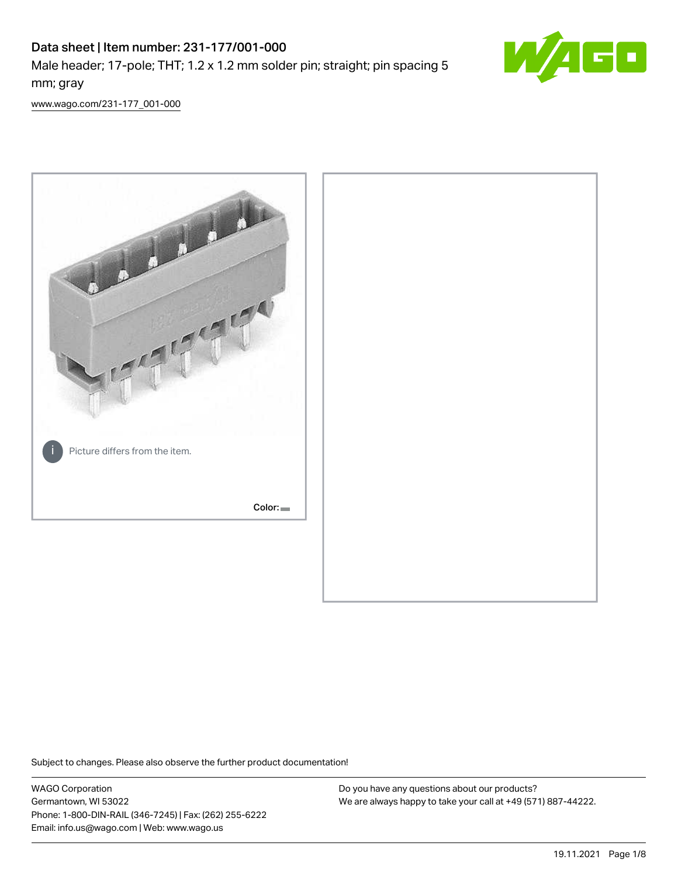# Data sheet | Item number: 231-177/001-000 Male header; 17-pole; THT; 1.2 x 1.2 mm solder pin; straight; pin spacing 5 mm; gray



[www.wago.com/231-177\\_001-000](http://www.wago.com/231-177_001-000)



Subject to changes. Please also observe the further product documentation!

WAGO Corporation Germantown, WI 53022 Phone: 1-800-DIN-RAIL (346-7245) | Fax: (262) 255-6222 Email: info.us@wago.com | Web: www.wago.us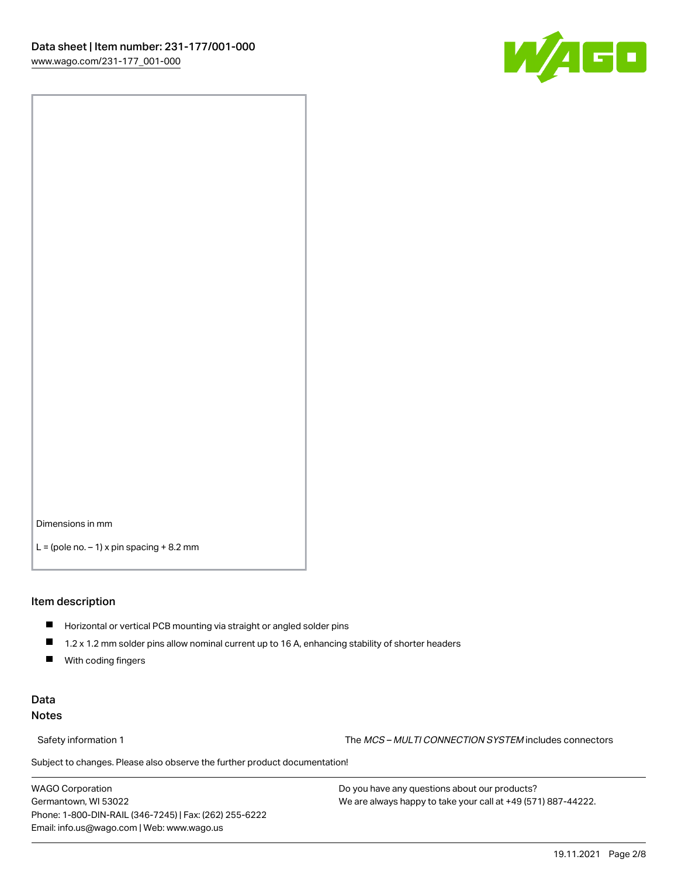

Dimensions in mm

 $L =$  (pole no.  $-1$ ) x pin spacing  $+8.2$  mm

#### Item description

- **Horizontal or vertical PCB mounting via straight or angled solder pins**
- 1.2 x 1.2 mm solder pins allow nominal current up to 16 A, enhancing stability of shorter headers
- $\blacksquare$ With coding fingers

#### Data Notes

Safety information 1 The MCS – MULTI CONNECTION SYSTEM includes connectors

Subject to changes. Please also observe the further product documentation!  $\nu$ 

WAGO Corporation Germantown, WI 53022 Phone: 1-800-DIN-RAIL (346-7245) | Fax: (262) 255-6222 Email: info.us@wago.com | Web: www.wago.us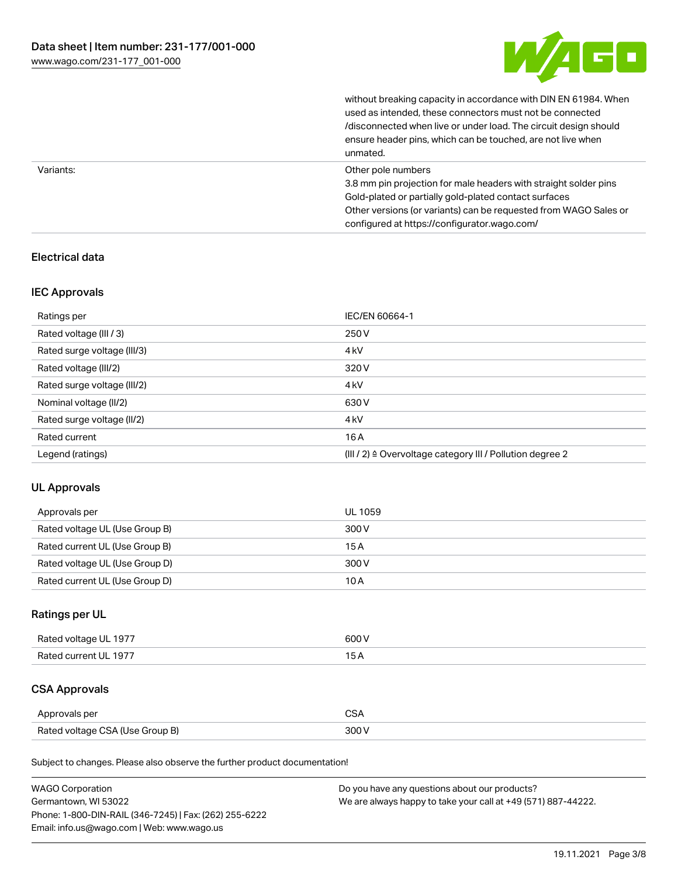

without breaking capacity in accordance with DIN EN 61984. When

|           | used as intended, these connectors must not be connected<br>/disconnected when live or under load. The circuit design should<br>ensure header pins, which can be touched, are not live when<br>unmated.                                                             |
|-----------|---------------------------------------------------------------------------------------------------------------------------------------------------------------------------------------------------------------------------------------------------------------------|
| Variants: | Other pole numbers<br>3.8 mm pin projection for male headers with straight solder pins<br>Gold-plated or partially gold-plated contact surfaces<br>Other versions (or variants) can be requested from WAGO Sales or<br>configured at https://configurator.wago.com/ |

## Electrical data

#### IEC Approvals

| Ratings per                 | IEC/EN 60664-1                                            |
|-----------------------------|-----------------------------------------------------------|
| Rated voltage (III / 3)     | 250 V                                                     |
| Rated surge voltage (III/3) | 4 <sub>k</sub> V                                          |
| Rated voltage (III/2)       | 320 V                                                     |
| Rated surge voltage (III/2) | 4 <sub>k</sub> V                                          |
| Nominal voltage (II/2)      | 630 V                                                     |
| Rated surge voltage (II/2)  | 4 <sub>k</sub> V                                          |
| Rated current               | 16A                                                       |
| Legend (ratings)            | (III / 2) ≙ Overvoltage category III / Pollution degree 2 |

#### UL Approvals

| Approvals per                  | UL 1059 |
|--------------------------------|---------|
| Rated voltage UL (Use Group B) | 300 V   |
| Rated current UL (Use Group B) | 15 A    |
| Rated voltage UL (Use Group D) | 300 V   |
| Rated current UL (Use Group D) | 10 A    |

## Ratings per UL

| Rated voltage UL 1977 | 600 V |
|-----------------------|-------|
| Rated current UL 1977 |       |

## CSA Approvals

| Approvals per                   | ~~    |
|---------------------------------|-------|
| Rated voltage CSA (Use Group B) | 3UU 1 |

Subject to changes. Please also observe the further product documentation!

| <b>WAGO Corporation</b>                                | Do you have any questions about our products?                 |
|--------------------------------------------------------|---------------------------------------------------------------|
| Germantown, WI 53022                                   | We are always happy to take your call at +49 (571) 887-44222. |
| Phone: 1-800-DIN-RAIL (346-7245)   Fax: (262) 255-6222 |                                                               |
| Email: info.us@wago.com   Web: www.wago.us             |                                                               |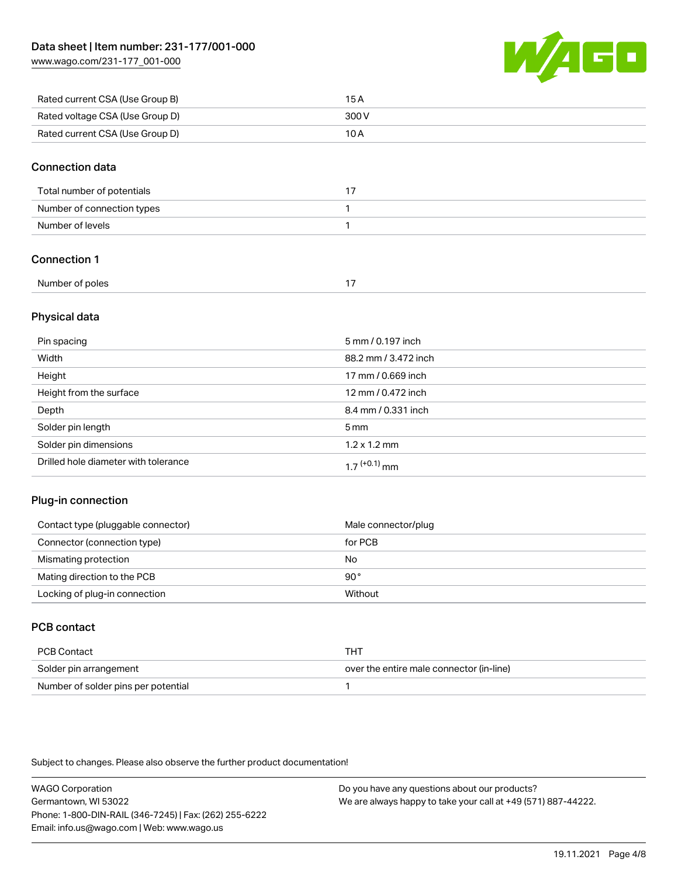[www.wago.com/231-177\\_001-000](http://www.wago.com/231-177_001-000)



| Rated current CSA (Use Group B) | 15 A  |
|---------------------------------|-------|
| Rated voltage CSA (Use Group D) | 300 V |
| Rated current CSA (Use Group D) | 10 A  |

#### Connection data

| Total number of potentials |  |
|----------------------------|--|
| Number of connection types |  |
| Number of levels           |  |

## Connection 1

| Number of poles |  |
|-----------------|--|
|                 |  |

#### Physical data

| Pin spacing                          | 5 mm / 0.197 inch    |
|--------------------------------------|----------------------|
| Width                                | 88.2 mm / 3.472 inch |
| Height                               | 17 mm / 0.669 inch   |
| Height from the surface              | 12 mm / 0.472 inch   |
| Depth                                | 8.4 mm / 0.331 inch  |
| Solder pin length                    | 5 <sub>mm</sub>      |
| Solder pin dimensions                | $1.2 \times 1.2$ mm  |
| Drilled hole diameter with tolerance | $17^{(+0.1)}$ mm     |

#### Plug-in connection

| Contact type (pluggable connector) | Male connector/plug |
|------------------------------------|---------------------|
| Connector (connection type)        | for PCB             |
| Mismating protection               | No                  |
| Mating direction to the PCB        | 90°                 |
| Locking of plug-in connection      | Without             |

## PCB contact

| PCB Contact                         | тнт                                      |
|-------------------------------------|------------------------------------------|
| Solder pin arrangement              | over the entire male connector (in-line) |
| Number of solder pins per potential |                                          |

Subject to changes. Please also observe the further product documentation!

WAGO Corporation Germantown, WI 53022 Phone: 1-800-DIN-RAIL (346-7245) | Fax: (262) 255-6222 Email: info.us@wago.com | Web: www.wago.us Do you have any questions about our products? We are always happy to take your call at +49 (571) 887-44222.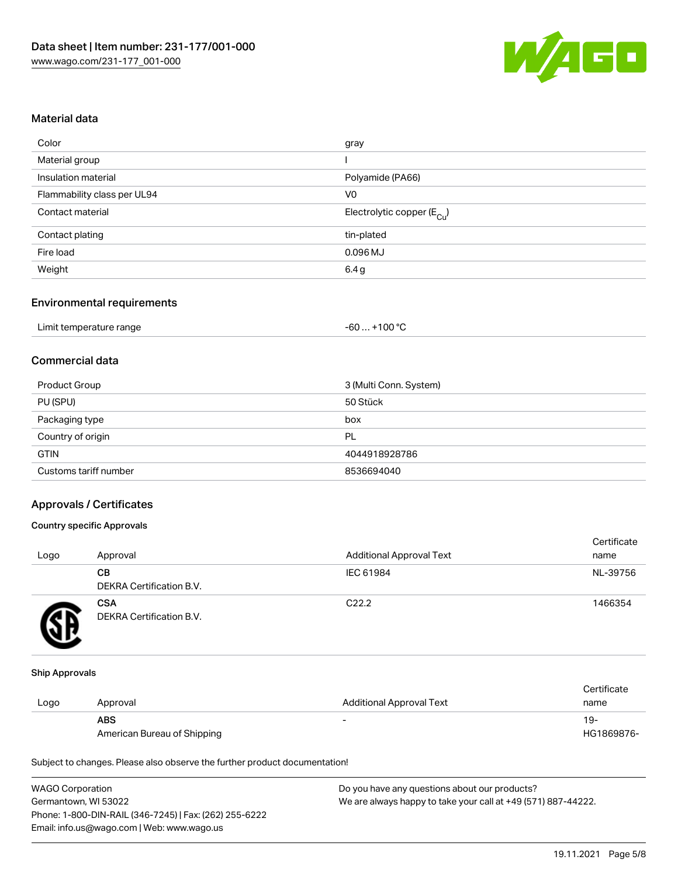

#### Material data

| Color                       | gray                                   |
|-----------------------------|----------------------------------------|
| Material group              |                                        |
| Insulation material         | Polyamide (PA66)                       |
| Flammability class per UL94 | V <sub>0</sub>                         |
| Contact material            | Electrolytic copper (E <sub>Cu</sub> ) |
| Contact plating             | tin-plated                             |
| Fire load                   | $0.096$ MJ                             |
| Weight                      | 6.4 g                                  |
|                             |                                        |

#### Environmental requirements

| Limit temperature range | $+100 °C$<br>-60 |
|-------------------------|------------------|
|-------------------------|------------------|

## Commercial data

| Product Group         | 3 (Multi Conn. System) |
|-----------------------|------------------------|
| PU (SPU)              | 50 Stück               |
| Packaging type        | box                    |
| Country of origin     | PL                     |
| <b>GTIN</b>           | 4044918928786          |
| Customs tariff number | 8536694040             |

#### Approvals / Certificates

#### Country specific Approvals

| Logo | Approval                               | <b>Additional Approval Text</b> | Certificate<br>name |
|------|----------------------------------------|---------------------------------|---------------------|
|      | CВ<br><b>DEKRA Certification B.V.</b>  | IEC 61984                       | NL-39756            |
|      | <b>CSA</b><br>DEKRA Certification B.V. | C <sub>22.2</sub>               | 1466354             |

#### Ship Approvals

|      |                             |                                 | Certificate |
|------|-----------------------------|---------------------------------|-------------|
| Logo | Approval                    | <b>Additional Approval Text</b> | name        |
|      | <b>ABS</b>                  | $\overline{\phantom{0}}$        | -19         |
|      | American Bureau of Shipping |                                 | HG1869876-  |

Subject to changes. Please also observe the further product documentation!

| <b>WAGO Corporation</b>                                | Do you have any questions about our products?                 |
|--------------------------------------------------------|---------------------------------------------------------------|
| Germantown, WI 53022                                   | We are always happy to take your call at +49 (571) 887-44222. |
| Phone: 1-800-DIN-RAIL (346-7245)   Fax: (262) 255-6222 |                                                               |
| Email: info.us@wago.com   Web: www.wago.us             |                                                               |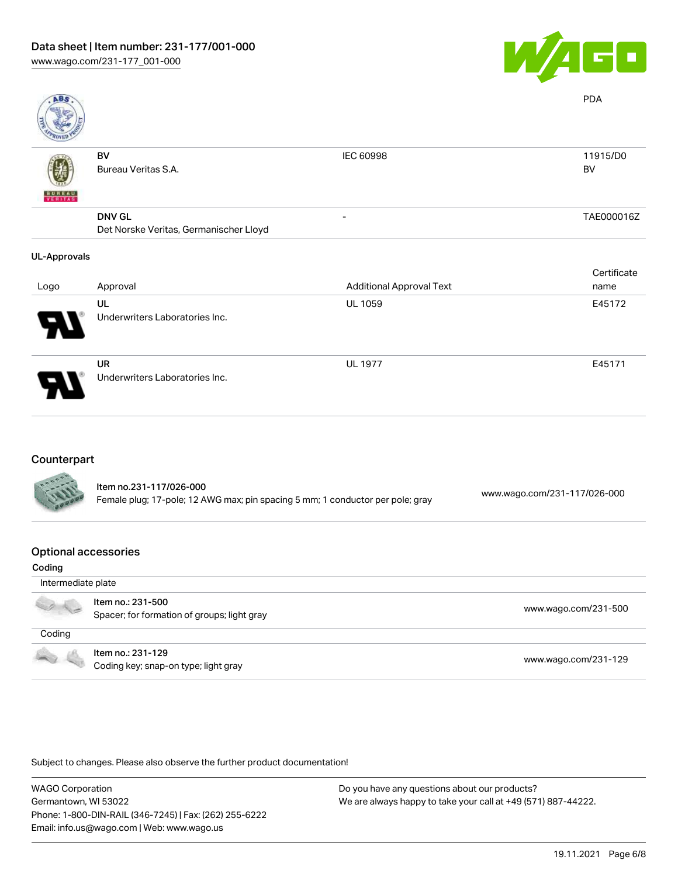

| <b>ABS</b>          |                                                         |                                 | <b>PDA</b>          |
|---------------------|---------------------------------------------------------|---------------------------------|---------------------|
|                     | BV<br>Bureau Veritas S.A.                               | IEC 60998                       | 11915/D0<br>BV      |
| VERITAS             | <b>DNV GL</b><br>Det Norske Veritas, Germanischer Lloyd |                                 | TAE000016Z          |
| <b>UL-Approvals</b> |                                                         |                                 |                     |
| Logo                | Approval                                                | <b>Additional Approval Text</b> | Certificate<br>name |
|                     | UL<br>Underwriters Laboratories Inc.                    | <b>UL 1059</b>                  | E45172              |
|                     | UR<br>Underwriters Laboratories Inc.                    | <b>UL 1977</b>                  | E45171              |
|                     |                                                         |                                 |                     |

#### Counterpart

| <b>CALLED</b> | Item no.231-117/026-000<br>Female plug; 17-pole; 12 AWG max; pin spacing 5 mm; 1 conductor per pole; gray | www.wago.com/231-117/026-000 |
|---------------|-----------------------------------------------------------------------------------------------------------|------------------------------|
|               |                                                                                                           |                              |

#### Optional accessories

| Coding             |                                                                  |                      |
|--------------------|------------------------------------------------------------------|----------------------|
| Intermediate plate |                                                                  |                      |
|                    | Item no.: 231-500<br>Spacer; for formation of groups; light gray | www.wago.com/231-500 |
| Coding             |                                                                  |                      |
| 100                | Item no.: 231-129<br>Coding key; snap-on type; light gray        | www.wago.com/231-129 |

Subject to changes. Please also observe the further product documentation!

WAGO Corporation Germantown, WI 53022 Phone: 1-800-DIN-RAIL (346-7245) | Fax: (262) 255-6222 Email: info.us@wago.com | Web: www.wago.us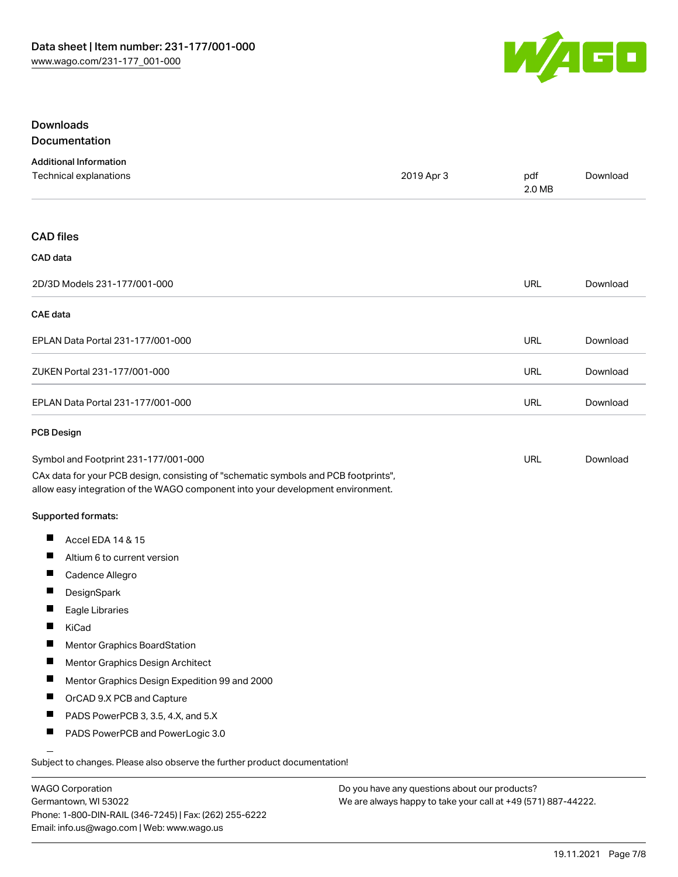

#### **Downloads** Documentation

| <b>Additional Information</b>                                                                                                                                          |            |               |          |
|------------------------------------------------------------------------------------------------------------------------------------------------------------------------|------------|---------------|----------|
| Technical explanations                                                                                                                                                 | 2019 Apr 3 | pdf<br>2.0 MB | Download |
|                                                                                                                                                                        |            |               |          |
| <b>CAD files</b>                                                                                                                                                       |            |               |          |
| CAD data                                                                                                                                                               |            |               |          |
| 2D/3D Models 231-177/001-000                                                                                                                                           |            | URL           | Download |
| <b>CAE</b> data                                                                                                                                                        |            |               |          |
| EPLAN Data Portal 231-177/001-000                                                                                                                                      |            | URL           | Download |
| ZUKEN Portal 231-177/001-000                                                                                                                                           |            | <b>URL</b>    | Download |
| EPLAN Data Portal 231-177/001-000                                                                                                                                      |            | URL           | Download |
| <b>PCB Design</b>                                                                                                                                                      |            |               |          |
| Symbol and Footprint 231-177/001-000                                                                                                                                   |            | URL           | Download |
| CAx data for your PCB design, consisting of "schematic symbols and PCB footprints",<br>allow easy integration of the WAGO component into your development environment. |            |               |          |

#### Supported formats:

- $\blacksquare$ Accel EDA 14 & 15
- $\blacksquare$ Altium 6 to current version
- $\blacksquare$ Cadence Allegro
- $\blacksquare$ **DesignSpark**
- $\blacksquare$ Eagle Libraries
- $\blacksquare$ KiCad
- $\blacksquare$ Mentor Graphics BoardStation
- $\blacksquare$ Mentor Graphics Design Architect
- $\blacksquare$ Mentor Graphics Design Expedition 99 and 2000
- $\blacksquare$ OrCAD 9.X PCB and Capture
- $\blacksquare$ PADS PowerPCB 3, 3.5, 4.X, and 5.X
- $\blacksquare$ PADS PowerPCB and PowerLogic 3.0

Subject to changes. Please also observe the further product documentation!

WAGO Corporation Germantown, WI 53022 Phone: 1-800-DIN-RAIL (346-7245) | Fax: (262) 255-6222 Email: info.us@wago.com | Web: www.wago.us